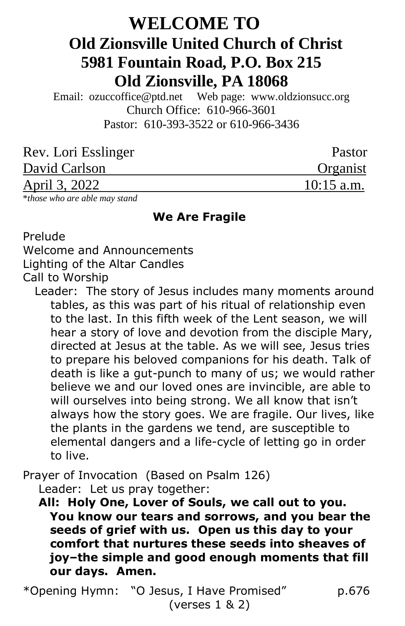# **WELCOME TO Old Zionsville United Church of Christ 5981 Fountain Road, P.O. Box 215 Old Zionsville, PA 18068**

Email: [ozuccoffice@ptd.net](mailto:ozuccoffice@ptd.net) Web page: [www.ol](http://www.uccwebsites.net/oldzionsvilleuccpa.html)dzionsucc.org Church Office: 610-966-3601 Pastor: 610-393-3522 or 610-966-3436

| Rev. Lori Esslinger | Pastor       |
|---------------------|--------------|
| David Carlson       | Organist     |
| April 3, 2022       | $10:15$ a.m. |
|                     |              |

\**those who are able may stand*

### **We Are Fragile**

Prelude

Welcome and Announcements

Lighting of the Altar Candles

Call to Worship

 Leader: The story of Jesus includes many moments around tables, as this was part of his ritual of relationship even to the last. In this fifth week of the Lent season, we will hear a story of love and devotion from the disciple Mary, directed at Jesus at the table. As we will see, Jesus tries to prepare his beloved companions for his death. Talk of death is like a gut-punch to many of us; we would rather believe we and our loved ones are invincible, are able to will ourselves into being strong. We all know that isn't always how the story goes. We are fragile. Our lives, like the plants in the gardens we tend, are susceptible to elemental dangers and a life-cycle of letting go in order to live.

Prayer of Invocation (Based on Psalm 126) Leader: Let us pray together:

 **All: Holy One, Lover of Souls, we call out to you. You know our tears and sorrows, and you bear the seeds of grief with us. Open us this day to your comfort that nurtures these seeds into sheaves of joy–the simple and good enough moments that fill our days. Amen.**

\*Opening Hymn: "O Jesus, I Have Promised" p.676 (verses 1 & 2)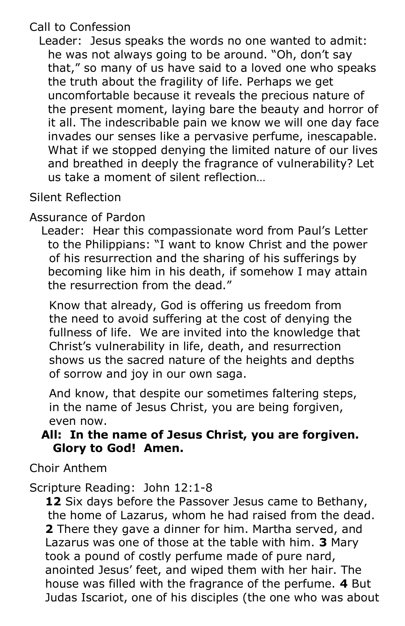# Call to Confession

Leader: Jesus speaks the words no one wanted to admit: he was not always going to be around. "Oh, don't say that," so many of us have said to a loved one who speaks the truth about the fragility of life. Perhaps we get uncomfortable because it reveals the precious nature of the present moment, laying bare the beauty and horror of it all. The indescribable pain we know we will one day face invades our senses like a pervasive perfume, inescapable. What if we stopped denying the limited nature of our lives and breathed in deeply the fragrance of vulnerability? Let us take a moment of silent reflection…

# Silent Reflection

# Assurance of Pardon

 Leader: Hear this compassionate word from Paul's Letter to the Philippians: "I want to know Christ and the power of his resurrection and the sharing of his sufferings by becoming like him in his death, if somehow I may attain the resurrection from the dead."

 Know that already, God is offering us freedom from the need to avoid suffering at the cost of denying the fullness of life. We are invited into the knowledge that Christ's vulnerability in life, death, and resurrection shows us the sacred nature of the heights and depths of sorrow and joy in our own saga.

 And know, that despite our sometimes faltering steps, in the name of Jesus Christ, you are being forgiven, even now.

## **All: In the name of Jesus Christ, you are forgiven. Glory to God! Amen.**

Choir Anthem

## Scripture Reading: John 12:1-8

 **12** Six days before the Passover Jesus came to Bethany, the home of Lazarus, whom he had raised from the dead. **2** There they gave a dinner for him. Martha served, and Lazarus was one of those at the table with him. **3** Mary took a pound of costly perfume made of pure nard, anointed Jesus' feet, and wiped them with her hair. The house was filled with the fragrance of the perfume. **4** But Judas Iscariot, one of his disciples (the one who was about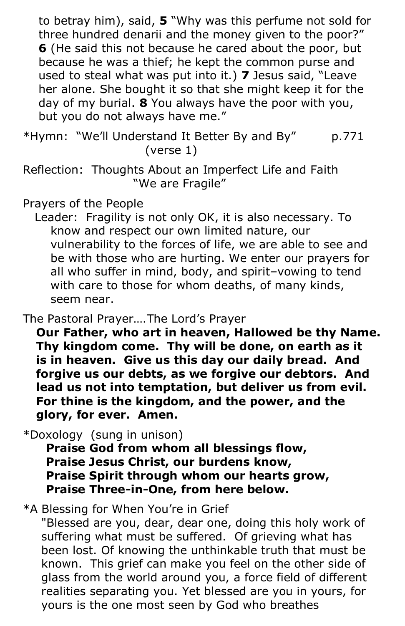to betray him), said, **5** "Why was this perfume not sold for three hundred denarii and the money given to the poor?" **6** (He said this not because he cared about the poor, but because he was a thief; he kept the common purse and used to steal what was put into it.) **7** Jesus said, "Leave her alone. She bought it so that she might keep it for the day of my burial. **8** You always have the poor with you, but you do not always have me."

\*Hymn: "We'll Understand It Better By and By" p.771 (verse 1)

Reflection: Thoughts About an Imperfect Life and Faith "We are Fragile"

## Prayers of the People

 Leader: Fragility is not only OK, it is also necessary. To know and respect our own limited nature, our vulnerability to the forces of life, we are able to see and be with those who are hurting. We enter our prayers for all who suffer in mind, body, and spirit–vowing to tend with care to those for whom deaths, of many kinds, seem near.

The Pastoral Prayer….The Lord's Prayer

**Our Father, who art in heaven, Hallowed be thy Name. Thy kingdom come. Thy will be done, on earth as it is in heaven. Give us this day our daily bread. And forgive us our debts, as we forgive our debtors. And lead us not into temptation, but deliver us from evil. For thine is the kingdom, and the power, and the glory, for ever. Amen.**

\*Doxology (sung in unison)

 **Praise God from whom all blessings flow, Praise Jesus Christ, our burdens know, Praise Spirit through whom our hearts grow, Praise Three-in-One, from here below.**

## \*A Blessing for When You're in Grief

"Blessed are you, dear, dear one, doing this holy work of suffering what must be suffered. Of grieving what has been lost. Of knowing the unthinkable truth that must be known. This grief can make you feel on the other side of glass from the world around you, a force field of different realities separating you. Yet blessed are you in yours, for yours is the one most seen by God who breathes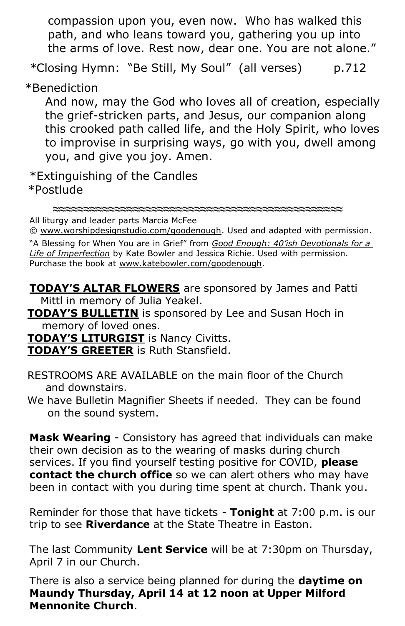compassion upon you, even now. Who has walked this path, and who leans toward you, gathering you up into the arms of love. Rest now, dear one. You are not alone."

*\**Closing Hymn: "Be Still, My Soul" (all verses) p.712

\*Benediction

 And now, may the God who loves all of creation, especially the grief-stricken parts, and Jesus, our companion along this crooked path called life, and the Holy Spirit, who loves to improvise in surprising ways, go with you, dwell among you, and give you joy. Amen.

\*Extinguishing of the Candles \*Postlude

**≈≈≈≈≈≈≈≈≈≈≈≈≈≈≈≈≈≈≈≈≈≈≈≈≈≈≈≈≈≈≈≈≈≈≈≈≈≈≈≈≈≈≈≈≈≈≈**

All liturgy and leader parts Marcia McFee

© [www.worshipdesignstudio.com/goodenough.](http://www.worshipdesignstudio.com/goodenough) Used and adapted with permission.

"A Blessing for When You are in Grief" from *[Good Enough: 40'ish Devotionals for a](https://katebowler.com/good-enough/)  [Life of Imperfection](https://katebowler.com/good-enough/)* by Kate Bowler and Jessica Richie. Used with permission. Purchase the book at [www.katebowler.com/goodenough.](http://www.katebowler.com/goodenough)

**TODAY'S ALTAR FLOWERS** are sponsored by James and Patti Mittl in memory of Julia Yeakel.

 **TODAY'S BULLETIN** is sponsored by Lee and Susan Hoch in memory of loved ones.

**TODAY'S LITURGIST** is Nancy Civitts.

**TODAY'S GREETER** is Ruth Stansfield.

 RESTROOMS ARE AVAILABLE on the main floor of the Church and downstairs.

 We have Bulletin Magnifier Sheets if needed. They can be found on the sound system.

**Mask Wearing** - Consistory has agreed that individuals can make their own decision as to the wearing of masks during church services. If you find yourself testing positive for COVID, **please contact the church office** so we can alert others who may have been in contact with you during time spent at church. Thank you.

Reminder for those that have tickets - **Tonight** at 7:00 p.m. is our trip to see **Riverdance** at the State Theatre in Easton.

The last Community **Lent Service** will be at 7:30pm on Thursday, April 7 in our Church.

There is also a service being planned for during the **daytime on Maundy Thursday, April 14 at 12 noon at Upper Milford Mennonite Church**.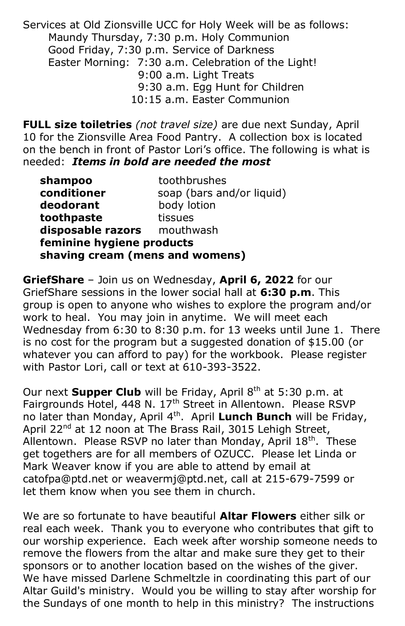Services at Old Zionsville UCC for Holy Week will be as follows: Maundy Thursday, 7:30 p.m. Holy Communion Good Friday, 7:30 p.m. Service of Darkness Easter Morning: 7:30 a.m. Celebration of the Light! 9:00 a.m. Light Treats 9:30 a.m. Egg Hunt for Children 10:15 a.m. Easter Communion

**FULL size toiletries** *(not travel size)* are due next Sunday, April 10 for the Zionsville Area Food Pantry.A collection box is located on the bench in front of Pastor Lori's office. The following is what is needed:*Items in bold are needed the most* 

| shampoo                         | toothbrushes              |  |  |  |
|---------------------------------|---------------------------|--|--|--|
| conditioner                     | soap (bars and/or liquid) |  |  |  |
| deodorant                       | body lotion               |  |  |  |
| toothpaste                      | tissues                   |  |  |  |
| disposable razors mouthwash     |                           |  |  |  |
| feminine hygiene products       |                           |  |  |  |
| shaving cream (mens and womens) |                           |  |  |  |

**GriefShare** – Join us on Wednesday, **April 6, 2022** for our GriefShare sessions in the lower social hall at **6:30 p.m**. This group is open to anyone who wishes to explore the program and/or work to heal. You may join in anytime. We will meet each Wednesday from 6:30 to 8:30 p.m. for 13 weeks until June 1. There is no cost for the program but a suggested donation of \$15.00 (or whatever you can afford to pay) for the workbook. Please register with Pastor Lori, call or text at 610-393-3522.

Our next **Supper Club** will be Friday, April 8<sup>th</sup> at 5:30 p.m. at Fairgrounds Hotel, 448 N. 17<sup>th</sup> Street in Allentown. Please RSVP no later than Monday, April 4th. April **Lunch Bunch** will be Friday, April 22<sup>nd</sup> at 12 noon at The Brass Rail, 3015 Lehigh Street, Allentown. Please RSVP no later than Monday, April 18<sup>th</sup>. These get togethers are for all members of OZUCC. Please let Linda or Mark Weaver know if you are able to attend by email at [catofpa@ptd.net](mailto:catofpa@ptd.net) or [weavermj@ptd.net,](mailto:weavermj@ptd.net) call at 215-679-7599 or let them know when you see them in church.

We are so fortunate to have beautiful **Altar Flowers** either silk or real each week. Thank you to everyone who contributes that gift to our worship experience. Each week after worship someone needs to remove the flowers from the altar and make sure they get to their sponsors or to another location based on the wishes of the giver. We have missed Darlene Schmeltzle in coordinating this part of our Altar Guild's ministry. Would you be willing to stay after worship for the Sundays of one month to help in this ministry? The instructions